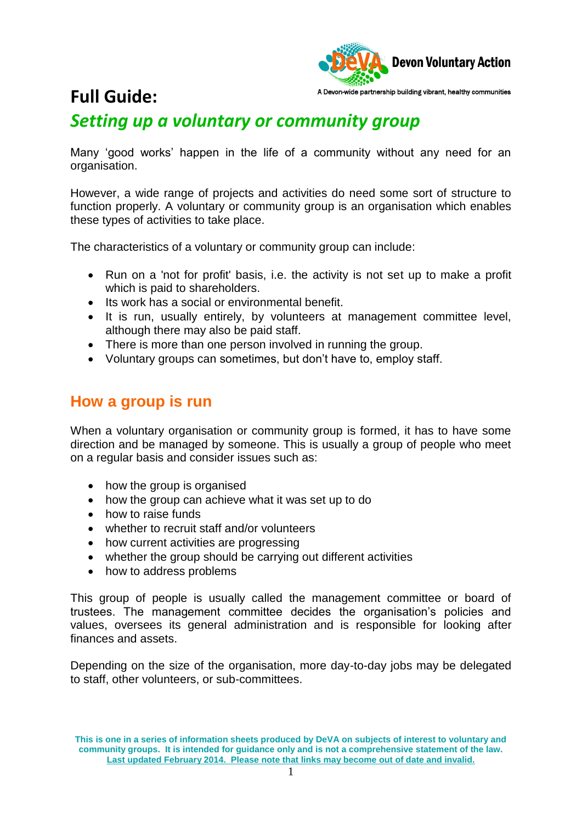

## **Full Guide:**

## *Setting up a voluntary or community group*

Many 'good works' happen in the life of a community without any need for an organisation.

However, a wide range of projects and activities do need some sort of structure to function properly. A voluntary or community group is an organisation which enables these types of activities to take place.

The characteristics of a voluntary or community group can include:

- Run on a 'not for profit' basis, i.e. the activity is not set up to make a profit which is paid to shareholders.
- Its work has a social or environmental benefit.
- It is run, usually entirely, by volunteers at management committee level, although there may also be paid staff.
- There is more than one person involved in running the group.
- Voluntary groups can sometimes, but don't have to, employ staff.

### **How a group is run**

When a voluntary organisation or community group is formed, it has to have some direction and be managed by someone. This is usually a group of people who meet on a regular basis and consider issues such as:

- how the group is organised
- how the group can achieve what it was set up to do
- how to raise funds
- whether to recruit staff and/or volunteers
- how current activities are progressing
- whether the group should be carrying out different activities
- how to address problems

This group of people is usually called the management committee or board of trustees. The management committee decides the organisation's policies and values, oversees its general administration and is responsible for looking after finances and assets.

Depending on the size of the organisation, more day-to-day jobs may be delegated to staff, other volunteers, or sub-committees.

**This is one in a series of information sheets produced by DeVA on subjects of interest to voluntary and community groups. It is intended for guidance only and is not a comprehensive statement of the law. Last updated February 2014. Please note that links may become out of date and invalid.**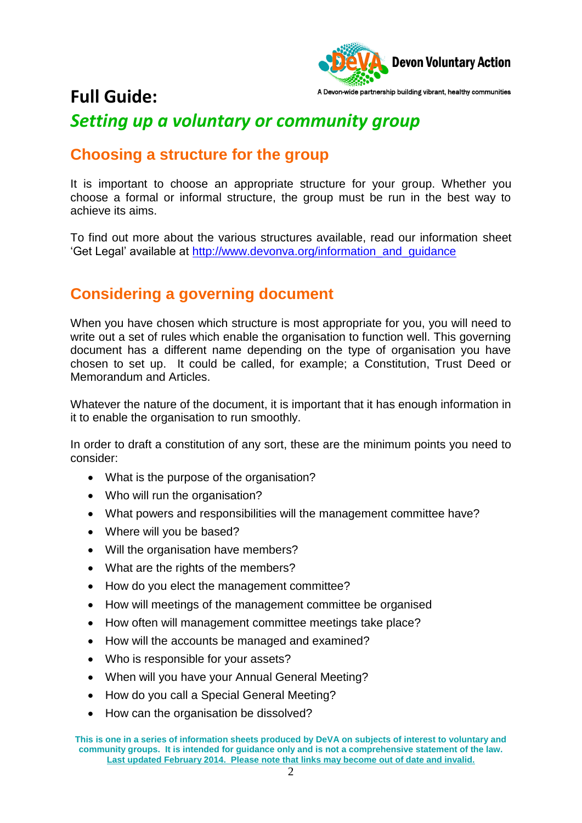

## **Full Guide:**

## *Setting up a voluntary or community group*

## **Choosing a structure for the group**

It is important to choose an appropriate structure for your group. Whether you choose a formal or informal structure, the group must be run in the best way to achieve its aims.

To find out more about the various structures available, read our information sheet 'Get Legal' available at [http://www.devonva.org/information\\_and\\_guidance](http://www.devonva.org/information_and_guidance)

## **Considering a governing document**

When you have chosen which structure is most appropriate for you, you will need to write out a set of rules which enable the organisation to function well. This governing document has a different name depending on the type of organisation you have chosen to set up. It could be called, for example; a Constitution, Trust Deed or Memorandum and Articles.

Whatever the nature of the document, it is important that it has enough information in it to enable the organisation to run smoothly.

In order to draft a constitution of any sort, these are the minimum points you need to consider:

- What is the purpose of the organisation?
- Who will run the organisation?
- What powers and responsibilities will the management committee have?
- Where will you be based?
- Will the organisation have members?
- What are the rights of the members?
- How do you elect the management committee?
- How will meetings of the management committee be organised
- How often will management committee meetings take place?
- How will the accounts be managed and examined?
- Who is responsible for your assets?
- When will you have your Annual General Meeting?
- How do you call a Special General Meeting?
- How can the organisation be dissolved?

**This is one in a series of information sheets produced by DeVA on subjects of interest to voluntary and community groups. It is intended for guidance only and is not a comprehensive statement of the law. Last updated February 2014. Please note that links may become out of date and invalid.**